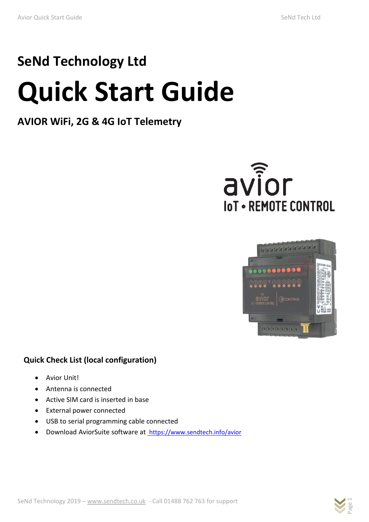# **SeNd Technology Ltd Quick Start Guide**

# **AVIOR WiFi, 2G & 4G IoT Telemetry**





# **Quick Check List (local configuration)**

- Avior Unit!
- Antenna is connected
- Active SIM card is inserted in base
- External power connected
- USB to serial programming cable connected
- Download AviorSuite software at <https://www.sendtech.info/avior>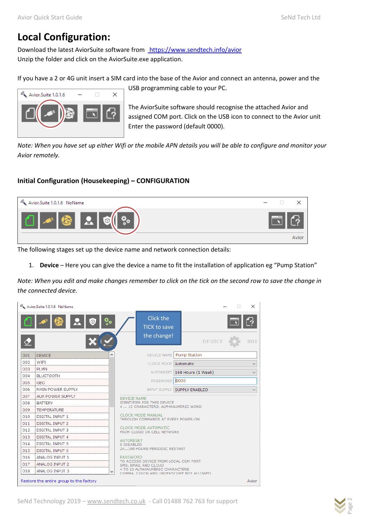# **Local Configuration:**

Download the latest AviorSuite software from <https://www.sendtech.info/avior> Unzip the folder and click on the AviorSuite.exe application.

If you have a 2 or 4G unit insert a SIM card into the base of the Avior and connect an antenna, power and the



USB programming cable to your PC.

The AviorSuite software should recognise the attached Avior and assigned COM port. Click on the USB icon to connect to the Avior unit Enter the password (default 0000).

*Note: When you have set up either Wifi or the mobile APN details you will be able to configure and monitor your Avior remotely.*

## **Initial Configuration (Housekeeping) – CONFIGURATION**



The following stages set up the device name and network connection details:

1. **Device** – Here you can give the device a name to fit the installation of application eg "Pump Station"

*Note: When you edit and make changes remember to click on the tick on the second row to save the change in the connected device.*

|     | Avior.Suite 1.0.1.6 NoName              |  |                                                                                                |      |                              |  | $\times$     |
|-----|-----------------------------------------|--|------------------------------------------------------------------------------------------------|------|------------------------------|--|--------------|
|     |                                         |  | Click the<br><b>TICK to save</b>                                                               |      |                              |  |              |
|     |                                         |  | the change!                                                                                    |      | <b>DEVICE</b>                |  | 001          |
| 001 | <b>DEVICE</b>                           |  | <b>DEVICE NAME</b>                                                                             |      | Pump Station                 |  |              |
| 002 | WIFI                                    |  | CLOCK MODE Automatic                                                                           |      |                              |  | $\checkmark$ |
| 003 | <b>PLMN</b>                             |  |                                                                                                |      | AUTORESET 168 Hours (1 Week) |  |              |
| 004 | <b>BLUETOOTH</b>                        |  |                                                                                                |      |                              |  |              |
| 005 | <b>GEO</b>                              |  | PASSWORD                                                                                       | 0000 |                              |  |              |
| 006 | <b>MAIN POWER SUPPLY</b>                |  | INPUT SUPPLY SUPPLY ENABLED                                                                    |      |                              |  | $\checkmark$ |
| 007 | <b>AUX POWER SUPPLY</b>                 |  | <b>DEVICE NAME</b><br><b>IDENTIFIER FOR THIS DEVICE</b><br>4  15 CHARACTERS, ALPHANUMERIC WORD |      |                              |  |              |
| 008 | <b>BATTERY</b>                          |  |                                                                                                |      |                              |  |              |
| 009 | <b>TEMPERATURE</b>                      |  |                                                                                                |      |                              |  |              |
| 010 | <b>DIGITAL INPUT 1</b>                  |  | <b>CLOCK MODE MANUAL</b><br>THROUGH COMMANDS AT EVERY POWER-ON                                 |      |                              |  |              |
| 011 | <b>DIGITAL INPUT 2</b>                  |  |                                                                                                |      |                              |  |              |
| 012 | <b>DIGITAL INPUT 3</b>                  |  | <b>CLOCK MODE AUTOMATIC</b><br>FROM CLOUD OR CELL NETWORK                                      |      |                              |  |              |
| 013 | <b>DIGITAL INPUT 4</b>                  |  | <b>AUTORESET</b>                                                                               |      |                              |  |              |
| 014 | <b>DIGITAL INPUT 5</b>                  |  | 0 DISABLED                                                                                     |      |                              |  |              |
| 015 | DIGITAL INPUT 6                         |  | 24168 HOURS PERIODIC RESTART                                                                   |      |                              |  |              |
| 016 | ANALOG INPUT 1                          |  | PASSWORD                                                                                       |      |                              |  |              |
| 017 | <b>ANALOG INPUT 2</b>                   |  | TO ACCESS DEVICE FROM LOCAL COM PORT<br>SMS, EMAIL AND CLOUD                                   |      |                              |  |              |
| 018 | <b>ANALOG INPUT 3</b>                   |  | 4 TO 10 ALPHANUMERIC CHARACTERS<br>COMMA, COLON AND UNDERSCORE NOT ALLOWED.                    |      |                              |  |              |
|     | Restore the entire group to the factory |  |                                                                                                |      |                              |  | Avior        |

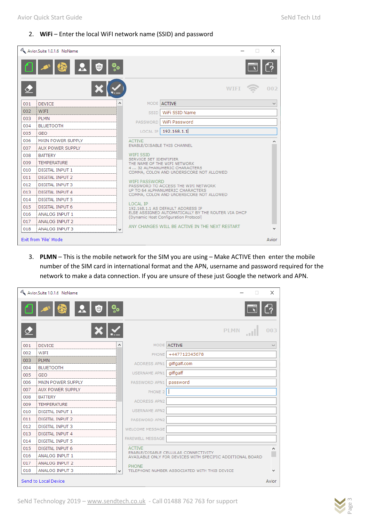#### 2. **WiFi** – Enter the local WiFI network name (SSID) and password

|     | Avior.Suite 1.0.1.6 NoName |              |                                                                                             | $\times$     |  |  |  |  |
|-----|----------------------------|--------------|---------------------------------------------------------------------------------------------|--------------|--|--|--|--|
|     | $\circ$                    |              |                                                                                             |              |  |  |  |  |
|     |                            |              | <b>WTFT</b>                                                                                 | 002          |  |  |  |  |
| 001 | <b>DEVICE</b>              |              | MODE ACTIVE                                                                                 | $\checkmark$ |  |  |  |  |
| 002 | <b>WIFI</b>                |              | WiFi SSID Name<br><b>SSID</b>                                                               |              |  |  |  |  |
| 003 | <b>PLMN</b>                |              | WiFi Password<br><b>PASSWORD</b>                                                            |              |  |  |  |  |
| 004 | <b>BLUETOOTH</b>           |              |                                                                                             |              |  |  |  |  |
| 005 | <b>GEO</b>                 |              | 192.168.1.1<br>LOCAL IP                                                                     |              |  |  |  |  |
| 006 | <b>MAIN POWER SUPPLY</b>   |              | <b>ACTIVE</b>                                                                               |              |  |  |  |  |
| 007 | <b>AUX POWER SUPPLY</b>    |              | <b>ENABLE/DISABLE THIS CHANNEL</b>                                                          |              |  |  |  |  |
| 008 | <b>BATTERY</b>             |              | <b>WIFI SSID</b><br>SERVICE SET IDENTIFIER                                                  |              |  |  |  |  |
| 009 | <b>TEMPERATURE</b>         |              | THE NAME OF THE WIFI NETWORK                                                                |              |  |  |  |  |
| 010 | DIGITAL INPUT 1            |              | 4  32 ALPHANUMERIC CHARACTERS<br>COMMA, COLON AND UNDERSCORE NOT ALLOWED                    |              |  |  |  |  |
| 011 | DIGITAL INPUT 2            |              |                                                                                             |              |  |  |  |  |
| 012 | <b>DIGITAL INPUT 3</b>     |              | WIFI PASSWORD<br>PASSWORD TO ACCESS THE WIFI NETWORK                                        |              |  |  |  |  |
| 013 | <b>DIGITAL INPUT 4</b>     |              | UP TO 64 ALPHANUMERIC CHARACTERS<br>COMMA, COLON AND UNDERSCORE NOT ALLOWED                 |              |  |  |  |  |
| 014 | <b>DIGITAL INPUT 5</b>     |              |                                                                                             |              |  |  |  |  |
| 015 | DIGITAL INPUT 6            |              | <b>LOCAL IP</b><br>192.168.1.1 AS DEFAULT ADDRESS IP                                        |              |  |  |  |  |
| 016 | ANALOG INPUT 1             |              | ELSE ASSIGNED AUTOMATICALLY BY THE ROUTER VIA DHCP<br>(Dynamic Host Configuration Protocol) |              |  |  |  |  |
| 017 | <b>ANALOG INPUT 2</b>      |              |                                                                                             |              |  |  |  |  |
| 018 | <b>ANALOG INPUT 3</b>      | $\checkmark$ | ANY CHANGES WILL BE ACTIVE IN THE NEXT RESTART                                              |              |  |  |  |  |
|     | Exit from 'File' Mode      |              |                                                                                             | Avior        |  |  |  |  |

3. **PLMN** – This is the mobile network for the SIM you are using – Make ACTIVE then enter the mobile number of the SIM card in international format and the APN, username and password required for the network to make a data connection. If you are unsure of these just Google the network and APN.

|     | Avior.Suite 1.0.1.6 NoName                         |   |                         |                                                                                                   | $\times$     |
|-----|----------------------------------------------------|---|-------------------------|---------------------------------------------------------------------------------------------------|--------------|
|     | $\mathbf{20}$<br>$\frac{\partial}{\partial t}\phi$ |   |                         |                                                                                                   |              |
|     |                                                    |   |                         | <b>PLMN</b>                                                                                       | 003          |
| 001 | <b>DEVICE</b>                                      |   |                         | MODE ACTIVE                                                                                       |              |
| 002 | WIFI                                               |   | PHONE                   | +447712345678                                                                                     |              |
| 003 | <b>PLMN</b>                                        |   | ADDRESS APN1            | giffgaff.com                                                                                      |              |
| 004 | <b>BLUETOOTH</b>                                   |   |                         |                                                                                                   |              |
| 005 | <b>GEO</b>                                         |   | <b>USERNAME APN1</b>    | giffgaff                                                                                          |              |
| 006 | <b>MAIN POWER SUPPLY</b>                           |   | PASSWORD APN1           | password                                                                                          |              |
| 007 | <b>AUX POWER SUPPLY</b>                            |   | PHONE 2                 |                                                                                                   |              |
| 008 | <b>BATTERY</b>                                     |   |                         |                                                                                                   |              |
| 009 | <b>TEMPERATURE</b>                                 |   | ADDRESS APN2            |                                                                                                   |              |
| 010 | <b>DIGITAL INPUT 1</b>                             |   | <b>USERNAME APN2</b>    |                                                                                                   |              |
| 011 | DIGITAL INPUT 2                                    |   | PASSWORD APN2           |                                                                                                   |              |
| 012 | <b>DIGITAL INPUT 3</b>                             |   | <b>WELCOME MESSAGE</b>  |                                                                                                   |              |
| 013 | <b>DIGITAL INPUT 4</b>                             |   |                         |                                                                                                   |              |
| 014 | <b>DIGITAL INPUT 5</b>                             |   | <b>FAREWELL MESSAGE</b> |                                                                                                   |              |
| 015 | <b>DIGITAL INPUT 6</b>                             |   | <b>ACTIVE</b>           |                                                                                                   |              |
| 016 | <b>ANALOG INPUT 1</b>                              |   |                         | ENABLE/DISABLE CELLULAR CONNECTIVITY<br>AVAILABLE ONLY FOR DEVICES WITH SPECIFIC ADDITIONAL BOARD |              |
| 017 | <b>ANALOG INPUT 2</b>                              |   | PHONE                   |                                                                                                   |              |
| 018 | <b>ANALOG INPUT 3</b>                              | v |                         | TELEPHONE NUMBER ASSOCIATED WITH THIS DEVICE                                                      | $\checkmark$ |
|     | Send to Local Device                               |   |                         |                                                                                                   | Avior        |

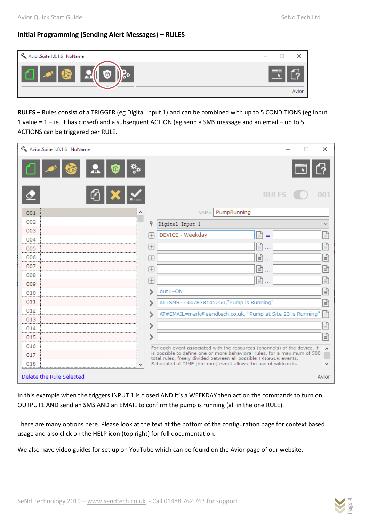# **Initial Programming (Sending Alert Messages) – RULES**

| Avior Suite 1.0.1.6 NoName              |        |
|-----------------------------------------|--------|
| <b>Zolf</b><br>$\approx$<br><b>STAR</b> | $-100$ |
|                                         | Avior  |

**RULES** – Rules consist of a TRIGGER (eg Digital Input 1) and can be combined with up to 5 CONDITIONS (eg Input 1 value = 1 – ie. it has closed) and a subsequent ACTION (eg send a SMS message and an email – up to 5 ACTIONS can be triggered per RULE.

| Avior.Suite 1.0.1.6 NoName<br>× |                                                                                                                                                       |              |  |  |  |
|---------------------------------|-------------------------------------------------------------------------------------------------------------------------------------------------------|--------------|--|--|--|
| Ų<br>$\circledcirc$             |                                                                                                                                                       |              |  |  |  |
| $\mathbb{C}[\mathsf{X}]$ $\leq$ | <b>RULES</b>                                                                                                                                          |              |  |  |  |
| 001                             | PumpRunning<br><b>NAME</b>                                                                                                                            |              |  |  |  |
| 002                             | 4<br>Digital Input 1                                                                                                                                  | $\checkmark$ |  |  |  |
| 003                             | DEVICE - Weekday<br>ቡ<br>Æ<br>$=$                                                                                                                     | ₽            |  |  |  |
| 004                             |                                                                                                                                                       | ₽            |  |  |  |
| 005                             | Ռ<br>$\boxplus$                                                                                                                                       |              |  |  |  |
| 006                             | 囼<br>Æ                                                                                                                                                | ₽            |  |  |  |
| 007                             | Ռ<br>$\boxplus$                                                                                                                                       | ₽            |  |  |  |
| 008                             | 囼<br>Œ<br>$\cdots$                                                                                                                                    | ₽            |  |  |  |
| 009                             | $out1 = ON$                                                                                                                                           | ≘            |  |  |  |
| 010                             |                                                                                                                                                       |              |  |  |  |
| 011                             | AT+SMS=+447838145250,"Pump is Running"                                                                                                                | e            |  |  |  |
| 012                             | AT#EMAIL=mark@sendtech.co.uk, "Pump at Site 23 is Running"                                                                                            | e            |  |  |  |
| 013<br>014                      |                                                                                                                                                       | ₽            |  |  |  |
| 015                             |                                                                                                                                                       | ≘            |  |  |  |
| 016                             |                                                                                                                                                       |              |  |  |  |
| 017                             | For each event associated with the resources (channels) of the device, it<br>is possible to define one or more behavioral rules, for a maximum of 500 | W            |  |  |  |
| 018<br>v                        | total rules, freely divided between all possible TRIGGER events.<br>Scheduled at TIME [hh: mm] event allows the use of wildcards.                     |              |  |  |  |
| Delete the Rule Selected        |                                                                                                                                                       | Avior        |  |  |  |

In this example when the triggers INPUT 1 is closed AND it's a WEEKDAY then action the commands to turn on OUTPUT1 AND send an SMS AND an EMAIL to confirm the pump is running (all in the one RULE).

There are many options here. Please look at the text at the bottom of the configuration page for context based usage and also click on the HELP icon (top right) for full documentation.

We also have video guides for set up on YouTube which can be found on the Avior page of our website.

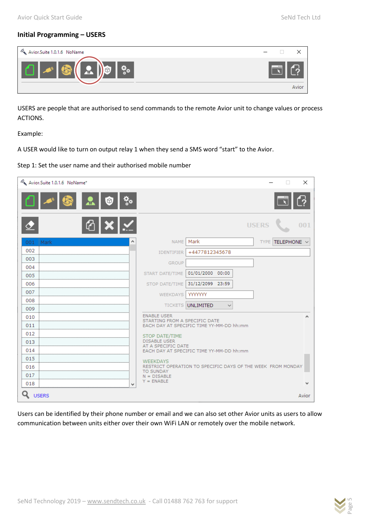## **Initial Programming – USERS**



USERS are people that are authorised to send commands to the remote Avior unit to change values or process ACTIONS.

Example:

A USER would like to turn on output relay 1 when they send a SMS word "start" to the Avior.

#### Step 1: Set the user name and their authorised mobile number

| Avior.Suite 1.0.1.6 NoName* |                                                     | ×<br>П                                                      |
|-----------------------------|-----------------------------------------------------|-------------------------------------------------------------|
| $^{\circ}$                  |                                                     |                                                             |
|                             |                                                     | <b>USERS</b><br>001                                         |
| 001 Mark                    | <b>NAME</b>                                         | Mark<br>TELEPHONE V<br><b>TYPE</b>                          |
| 002                         | <b>IDENTIFIER</b>                                   | +4477812345678                                              |
| 003                         | <b>GROUP</b>                                        |                                                             |
| 004                         | START DATE/TIME                                     | 01/01/2000 00:00                                            |
| 005<br>006                  | STOP DATE/TIME                                      | 31/12/2099 23:59                                            |
| 007                         |                                                     |                                                             |
| 008                         | <b>WEEKDAYS</b>                                     | <b>YYYYYYY</b>                                              |
| 009                         |                                                     | <b>TICKETS UNLIMITED</b><br>$\checkmark$                    |
| 010                         | <b>ENABLE USER</b><br>STARTING FROM A SPECIFIC DATE |                                                             |
| 011                         |                                                     | EACH DAY AT SPECIFIC TIME YY-MM-DD hh:mm                    |
| 012                         | <b>STOP DATE/TIME</b>                               |                                                             |
| 013                         | <b>DISABLE USER</b><br>AT A SPECIFIC DATE           |                                                             |
| 014                         |                                                     | EACH DAY AT SPECIFIC TIME YY-MM-DD hh:mm                    |
| 015                         | <b>WEEKDAYS</b>                                     |                                                             |
| 016                         | <b>TO SUNDAY</b>                                    | RESTRICT OPERATION TO SPECIFIC DAYS OF THE WEEK FROM MONDAY |
| 017                         | $N = DISABLE$<br>$Y = ENABLE$                       |                                                             |
| 018<br>v                    |                                                     |                                                             |
| <b>USERS</b>                |                                                     | Avior                                                       |

Users can be identified by their phone number or email and we can also set other Avior units as users to allow communication between units either over their own WiFi LAN or remotely over the mobile network.